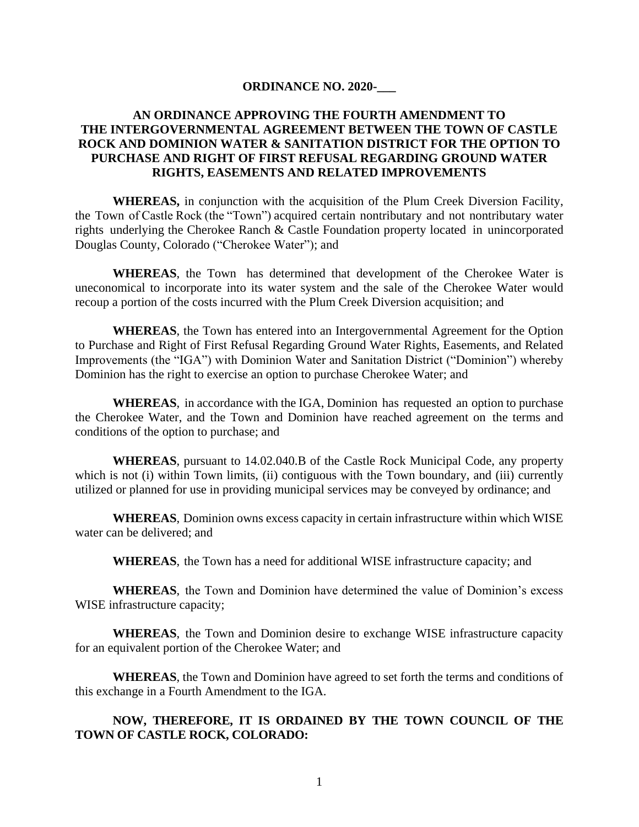## **ORDINANCE NO. 2020-\_\_\_**

## **AN ORDINANCE APPROVING THE FOURTH AMENDMENT TO THE INTERGOVERNMENTAL AGREEMENT BETWEEN THE TOWN OF CASTLE ROCK AND DOMINION WATER & SANITATION DISTRICT FOR THE OPTION TO PURCHASE AND RIGHT OF FIRST REFUSAL REGARDING GROUND WATER RIGHTS, EASEMENTS AND RELATED IMPROVEMENTS**

**WHEREAS,** in conjunction with the acquisition of the Plum Creek Diversion Facility, the Town of Castle Rock (the "Town") acquired certain nontributary and not nontributary water rights underlying the Cherokee Ranch & Castle Foundation property located in unincorporated Douglas County, Colorado ("Cherokee Water"); and

**WHEREAS**, the Town has determined that development of the Cherokee Water is uneconomical to incorporate into its water system and the sale of the Cherokee Water would recoup a portion of the costs incurred with the Plum Creek Diversion acquisition; and

**WHEREAS**, the Town has entered into an Intergovernmental Agreement for the Option to Purchase and Right of First Refusal Regarding Ground Water Rights, Easements, and Related Improvements (the "IGA") with Dominion Water and Sanitation District ("Dominion") whereby Dominion has the right to exercise an option to purchase Cherokee Water; and

**WHEREAS**, in accordance with the IGA, Dominion has requested an option to purchase the Cherokee Water, and the Town and Dominion have reached agreement on the terms and conditions of the option to purchase; and

**WHEREAS**, pursuant to 14.02.040.B of the Castle Rock Municipal Code, any property which is not (i) within Town limits, (ii) contiguous with the Town boundary, and (iii) currently utilized or planned for use in providing municipal services may be conveyed by ordinance; and

**WHEREAS**, Dominion owns excess capacity in certain infrastructure within which WISE water can be delivered; and

**WHEREAS**, the Town has a need for additional WISE infrastructure capacity; and

**WHEREAS**, the Town and Dominion have determined the value of Dominion's excess WISE infrastructure capacity;

**WHEREAS**, the Town and Dominion desire to exchange WISE infrastructure capacity for an equivalent portion of the Cherokee Water; and

**WHEREAS**, the Town and Dominion have agreed to set forth the terms and conditions of this exchange in a Fourth Amendment to the IGA.

## **NOW, THEREFORE, IT IS ORDAINED BY THE TOWN COUNCIL OF THE TOWN OF CASTLE ROCK, COLORADO:**